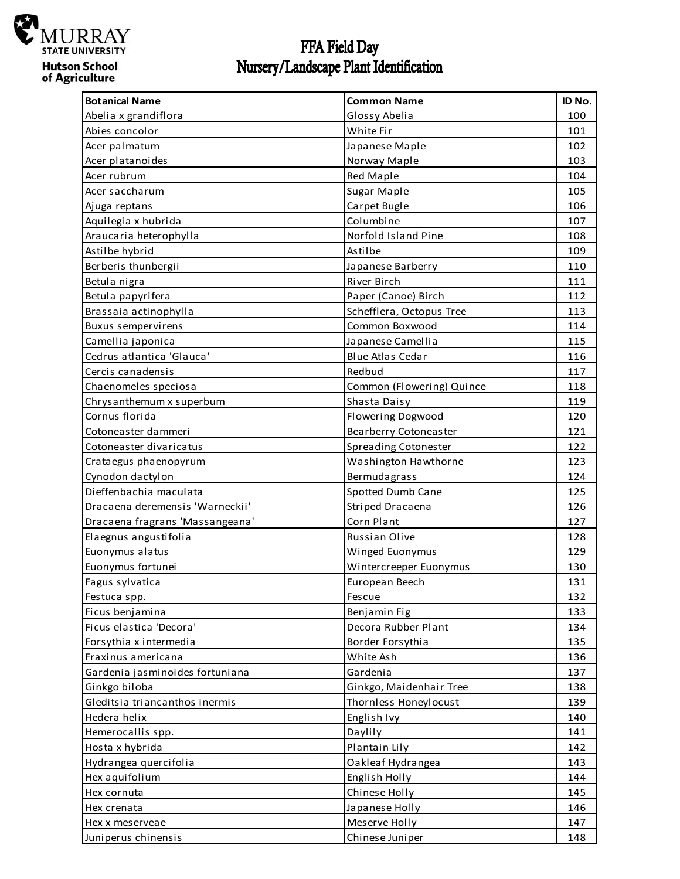

## FFA Field Day<br>Nursery/Landscape Plant Identification

| <b>Botanical Name</b>           | <b>Common Name</b>           | ID No. |
|---------------------------------|------------------------------|--------|
| Abelia x grandiflora            | Glossy Abelia                | 100    |
| Abies concolor                  | White Fir                    | 101    |
| Acer palmatum                   | Japanese Maple               | 102    |
| Acer platanoides                | Norway Maple                 | 103    |
| Acer rubrum                     | Red Maple                    | 104    |
| Acer saccharum                  | Sugar Maple                  | 105    |
| Ajuga reptans                   | Carpet Bugle                 | 106    |
| Aquilegia x hubrida             | Columbine                    | 107    |
| Araucaria heterophylla          | Norfold Island Pine          | 108    |
| Astilbe hybrid                  | Astilbe                      | 109    |
| Berberis thunbergii             | Japanese Barberry            | 110    |
| Betula nigra                    | River Birch                  | 111    |
| Betula papyrifera               | Paper (Canoe) Birch          | 112    |
| Brassaia actinophylla           | Schefflera, Octopus Tree     | 113    |
| <b>Buxus sempervirens</b>       | Common Boxwood               | 114    |
| Camellia japonica               | Japanese Camellia            | 115    |
| Cedrus atlantica 'Glauca'       | <b>Blue Atlas Cedar</b>      | 116    |
| Cercis canadensis               | Redbud                       | 117    |
| Chaenomeles speciosa            | Common (Flowering) Quince    | 118    |
| Chrysanthemum x superbum        | Shasta Daisy                 | 119    |
| Cornus florida                  | Flowering Dogwood            | 120    |
| Cotoneaster dammeri             | <b>Bearberry Cotoneaster</b> | 121    |
| Cotoneaster divaricatus         | Spreading Cotonester         | 122    |
| Crataegus phaenopyrum           | Washington Hawthorne         | 123    |
| Cynodon dactylon                | Bermudagrass                 | 124    |
| Dieffenbachia maculata          | Spotted Dumb Cane            | 125    |
| Dracaena deremensis 'Warneckii' | Striped Dracaena             | 126    |
| Dracaena fragrans 'Massangeana' | Corn Plant                   | 127    |
| Elaegnus angustifolia           | Russian Olive                | 128    |
| Euonymus alatus                 | Winged Euonymus              | 129    |
| Euonymus fortunei               | Wintercreeper Euonymus       | 130    |
| Fagus sylvatica                 | European Beech               | 131    |
| Festuca spp.                    | Fescue                       | 132    |
| Ficus benjamina                 | Benjamin Fig                 | 133    |
| Ficus elastica 'Decora'         | Decora Rubber Plant          | 134    |
| Forsythia x intermedia          | Border Forsythia             | 135    |
| Fraxinus americana              | White Ash                    | 136    |
| Gardenia jasminoides fortuniana | Gardenia                     | 137    |
| Ginkgo biloba                   | Ginkgo, Maidenhair Tree      | 138    |
| Gleditsia triancanthos inermis  | Thornless Honeylocust        | 139    |
| Hedera helix                    | English Ivy                  | 140    |
| Hemerocallis spp.               | Daylily                      | 141    |
| Hosta x hybrida                 | Plantain Lily                | 142    |
| Hydrangea quercifolia           | Oakleaf Hydrangea            | 143    |
| Hex aquifolium                  | English Holly                | 144    |
| Hex cornuta                     | Chinese Holly                | 145    |
| Hex crenata                     | Japanese Holly               | 146    |
| Hex x meserveae                 | Meserve Holly                | 147    |
| Juniperus chinensis             | Chinese Juniper              | 148    |